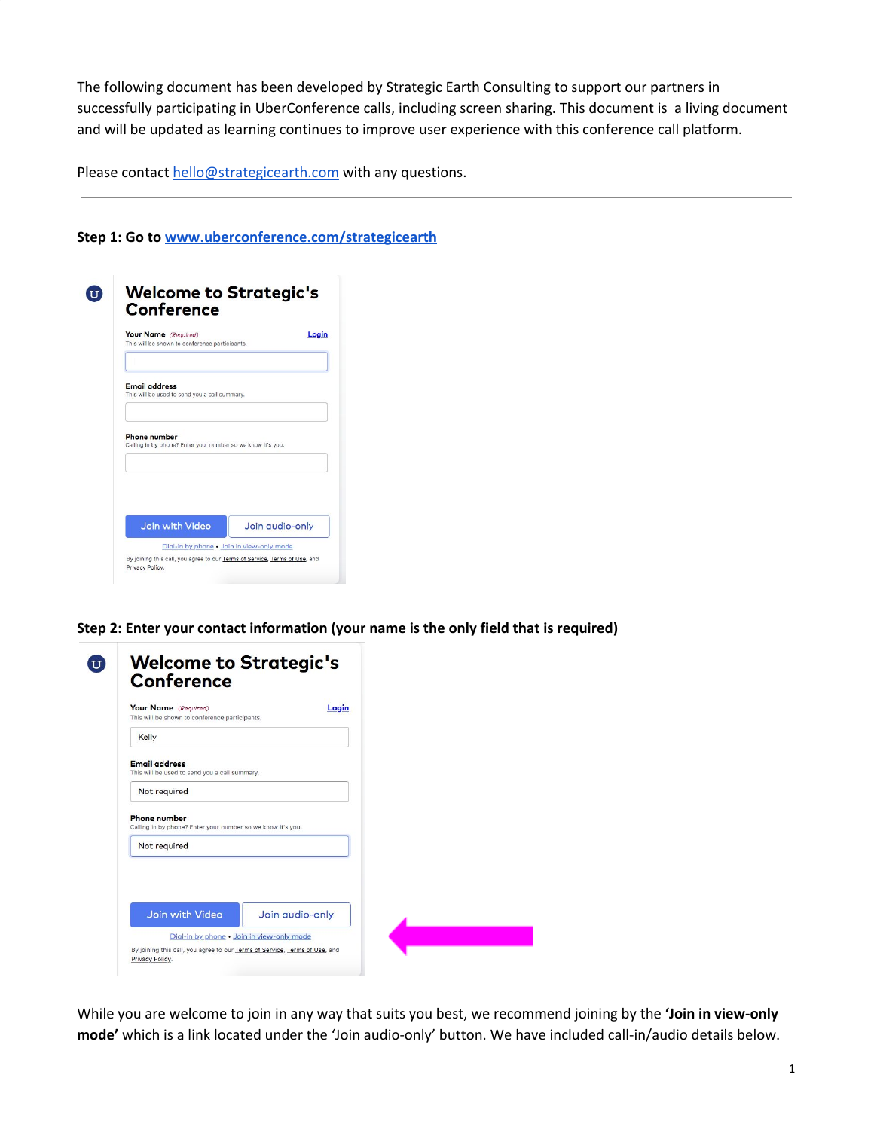The following document has been developed by Strategic Earth Consulting to support our partners in successfully participating in UberConference calls, including screen sharing. This document is a living document and will be updated as learning continues to improve user experience with this conference call platform.

Please contact [hello@strategicearth.com](mailto:hello@strategicearth.com) with any questions.

**Step 1: Go to [www.uberconference.com/strategicearth](http://www.uberconference.com/strategicearth)**

| Your Name (Required)<br>This will be shown to conference participants. | Login |
|------------------------------------------------------------------------|-------|
|                                                                        |       |
| <b>Email address</b><br>This will be used to send you a call summary.  |       |
|                                                                        |       |
| <b>Phone number</b>                                                    |       |
| Calling in by phone? Enter your number so we know it's you.            |       |
|                                                                        |       |
|                                                                        |       |

**Step 2: Enter your contact information (your name is the only field that is required)**

| Your Name (Required)<br>This will be shown to conference participants. | Login           |
|------------------------------------------------------------------------|-----------------|
| Kelly                                                                  |                 |
| <b>Email address</b><br>This will be used to send you a call summary.  |                 |
| Not required                                                           |                 |
| Calling in by phone? Enter your number so we know it's you.            |                 |
| Not required                                                           |                 |
|                                                                        |                 |
| Join with Video                                                        | Join audio-only |

While you are welcome to join in any way that suits you best, we recommend joining by the **'Join in view-only mode'** which is a link located under the 'Join audio-only' button. We have included call-in/audio details below.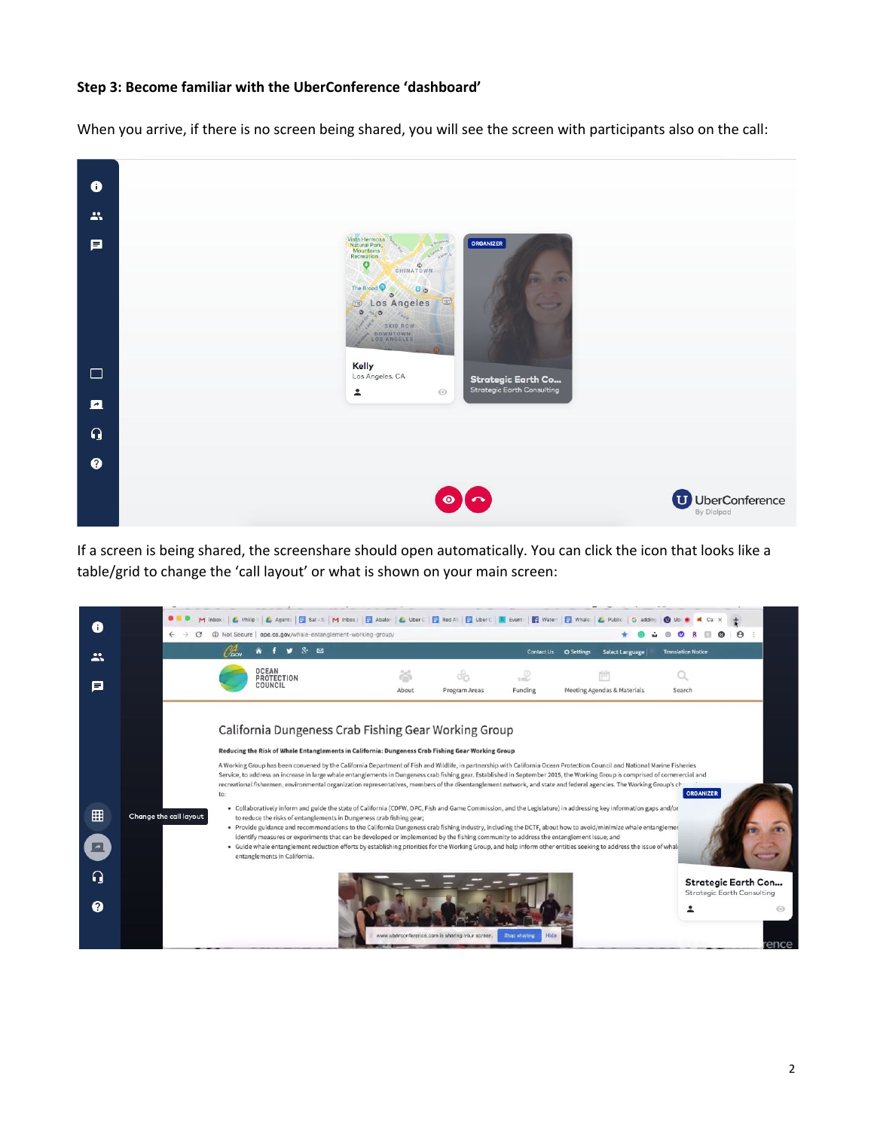## **Step 3: Become familiar with the UberConference 'dashboard'**

When you arrive, if there is no screen being shared, you will see the screen with participants also on the call:



If a screen is being shared, the screenshare should open automatically. You can click the icon that looks like a table/grid to change the 'call layout' or what is shown on your main screen:

| $\leftarrow$ | $\odot$                 | Not Secure   opc.ca.gov/whale-entanglement-working-group/<br>$x = a$                                                                                      |       |               | Contact Us      | <b>Select Language</b><br><b>Q</b> Settings                                                                                                                                | <b>Translation Notice</b> |  |
|--------------|-------------------------|-----------------------------------------------------------------------------------------------------------------------------------------------------------|-------|---------------|-----------------|----------------------------------------------------------------------------------------------------------------------------------------------------------------------------|---------------------------|--|
| ∸<br>О       | <b>OCEAN</b><br>COUNCIL | <b>PROTECTION</b>                                                                                                                                         | About | Program Areas | 1100<br>Funding | Meeting Agendas & Materials                                                                                                                                                | Search                    |  |
|              |                         | California Dungeness Crab Fishing Gear Working Group<br>Reducing the Risk of Whale Entanglements in California: Dungeness Crab Fishing Gear Working Group |       |               |                 | A Working Group has been convened by the California Department of Fish and Wildlife, in partnership with California Ocean Protection Council and National Marine Fisheries |                           |  |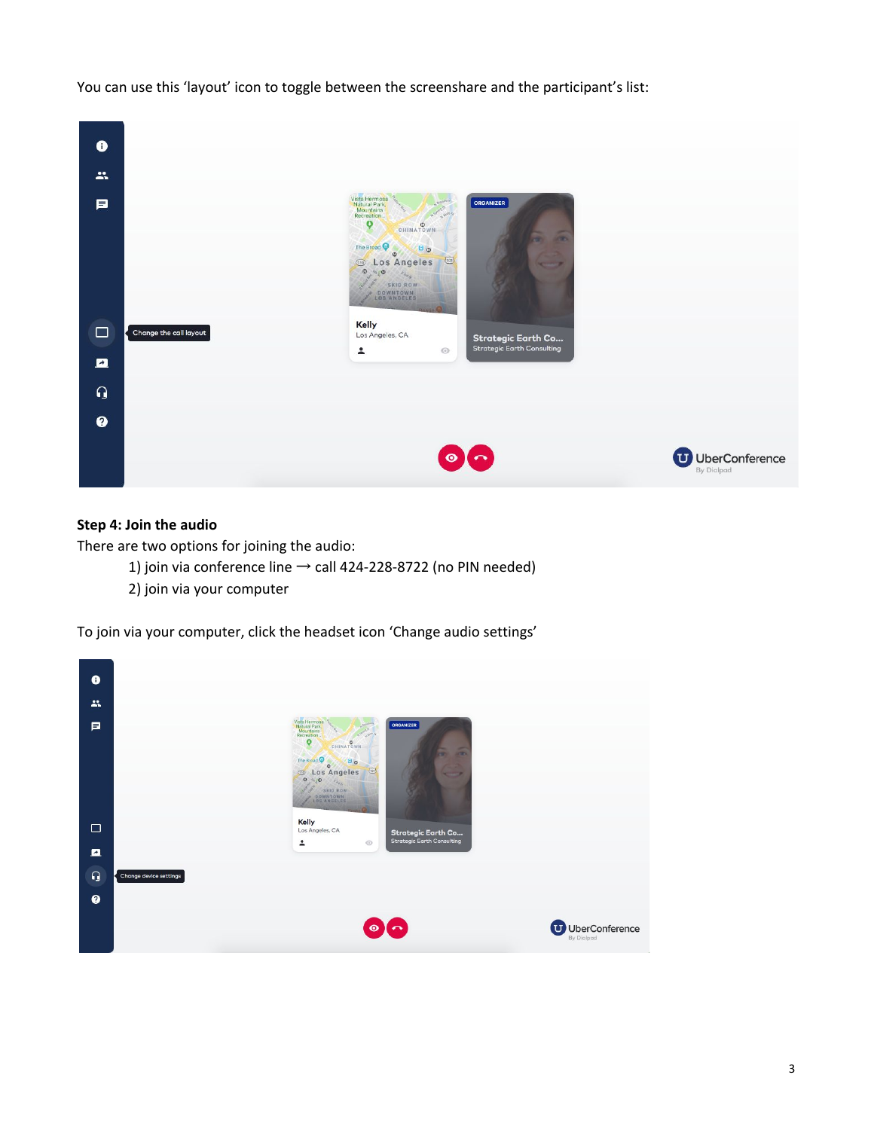You can use this 'layout' icon to toggle between the screenshare and the participant's list:



## **Step 4: Join the audio**

There are two options for joining the audio:

- 1) join via conference line  $\rightarrow$  call 424-228-8722 (no PIN needed)
- 2) join via your computer

To join via your computer, click the headset icon 'Change audio settings'